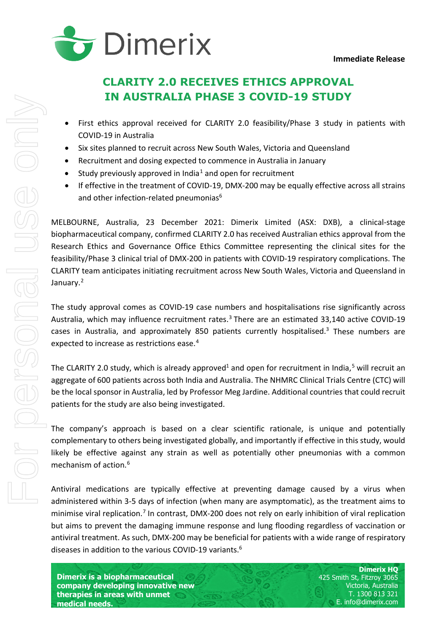

# <span id="page-0-2"></span>**CLARITY 2.0 RECEIVES ETHICS APPROVAL IN AUSTRALIA PHASE 3 COVID-19 STUDY**

- First ethics approval received for CLARITY 2.0 feasibility/Phase 3 study in patients with COVID-19 in Australia
- Six sites planned to recruit across New South Wales, Victoria and Queensland
- Recruitment and dosing expected to commence in Australia in January
- Study previously approved in India<sup>[1](#page-3-0)</sup> and open for recruitment
- If effective in the treatment of COVID-19, DMX-200 may be equally effective across all strains and other infection-related pneumonias<sup>6</sup>

MELBOURNE, Australia, 23 December 2021: Dimerix Limited (ASX: DXB), a clinical-stage biopharmaceutical company, confirmed CLARITY 2.0 has received Australian ethics approval from the Research Ethics and Governance Office Ethics Committee representing the clinical sites for the feasibility/Phase 3 clinical trial of DMX-200 in patients with COVID-19 respiratory complications. The CLARITY team anticipates initiating recruitment across New South Wales, Victoria and Queensland in January.<sup>[2](#page-3-1)</sup>

<span id="page-0-1"></span>The study approval comes as COVID-19 case numbers and hospitalisations rise significantly across Australia, which may influence recruitment rates.<sup>[3](#page-3-2)</sup> There are an estimated 33,140 active COVID-19 cases in Australia, and approximately 850 patients currently hospitalised.<sup>3</sup> These numbers are expected to increase as restrictions ease. [4](#page-3-3)

The CLARITY 2.0 study, which is already approved<sup>1</sup> and open for recruitment in India,<sup>[5](#page-3-4)</sup> will recruit an aggregate of 600 patients across both India and Australia. The NHMRC Clinical Trials Centre (CTC) will be the local sponsor in Australia, led by Professor Meg Jardine. Additional countries that could recruit patients for the study are also being investigated.

The company's approach is based on a clear scientific rationale, is unique and potentially complementary to others being investigated globally, and importantly if effective in this study, would likely be effective against any strain as well as potentially other pneumonias with a common mechanism of action.<sup>[6](#page-3-5)</sup>

<span id="page-0-0"></span>Antiviral medications are typically effective at preventing damage caused by a virus when administered within 3-5 days of infection (when many are asymptomatic), as the treatment aims to minimise viral replication.<sup>[7](#page-3-6)</sup> In contrast, DMX-200 does not rely on early inhibition of viral replication but aims to prevent the damaging immune response and lung flooding regardless of vaccination or antiviral treatment. As such, DMX-200 may be beneficial for patients with a wide range of respiratory diseases in addition to the various COVID-19 variants.<sup>6</sup>

**Dimerix is a biopharmaceutical company developing innovative new therapies in areas with unmet medical needs.**

**Dimerix HQ** 425 Smith St, Fitzroy 3065 Victoria, Australia T. 1300 813 321 E. info@dimerix.com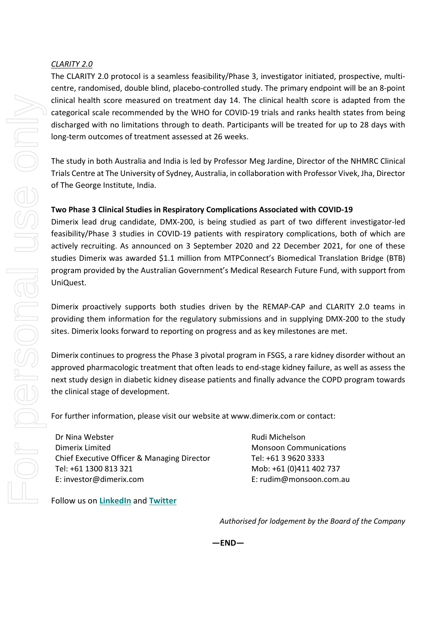## *CLARITY 2.0*

The CLARITY 2.0 protocol is a seamless feasibility/Phase 3, investigator initiated, prospective, multicentre, randomised, double blind, placebo-controlled study. The primary endpoint will be an 8-point clinical health score measured on treatment day 14. The clinical health score is adapted from the categorical scale recommended by the WHO for COVID-19 trials and ranks health states from being discharged with no limitations through to death. Participants will be treated for up to 28 days with long-term outcomes of treatment assessed at 26 weeks.

The study in both Australia and India is led by Professor Meg Jardine, Director of the NHMRC Clinical Trials Centre at The University of Sydney, Australia, in collaboration with Professor Vivek, Jha, Director of The George Institute, India.

## **Two Phase 3 Clinical Studies in Respiratory Complications Associated with COVID-19**

Dimerix lead drug candidate, DMX-200, is being studied as part of two different investigator-led feasibility/Phase 3 studies in COVID-19 patients with respiratory complications, both of which are actively recruiting. As announced on 3 September 2020 and 22 December 2021, for one of these studies Dimerix was awarded \$1.1 million from MTPConnect's Biomedical Translation Bridge (BTB) program provided by the Australian Government's Medical Research Future Fund, with support from UniQuest.

Dimerix proactively supports both studies driven by the REMAP-CAP and CLARITY 2.0 teams in providing them information for the regulatory submissions and in supplying DMX-200 to the study sites. Dimerix looks forward to reporting on progress and as key milestones are met.

Dimerix continues to progress the Phase 3 pivotal program in FSGS, a rare kidney disorder without an approved pharmacologic treatment that often leads to end-stage kidney failure, as well as assess the next study design in diabetic kidney disease patients and finally advance the COPD program towards the clinical stage of development.

**—END—**

For further information, please visit our website at www.dimerix.com or contact:

Dr Nina Webster Dimerix Limited Chief Executive Officer & Managing Director Tel: +61 1300 813 321 E: investor@dimerix.com

Rudi Michelson Monsoon Communications Tel: +61 3 9620 3333 Mob: +61 (0)411 402 737 E: rudim@monsoon.com.au

Follow us on **[LinkedIn](https://www.linkedin.com/company/dimerix-bioscience)** and **[Twitter](https://twitter.com/dimerixltd)**

*Authorised for lodgement by the Board of the Company*

For personal use only For personal use onny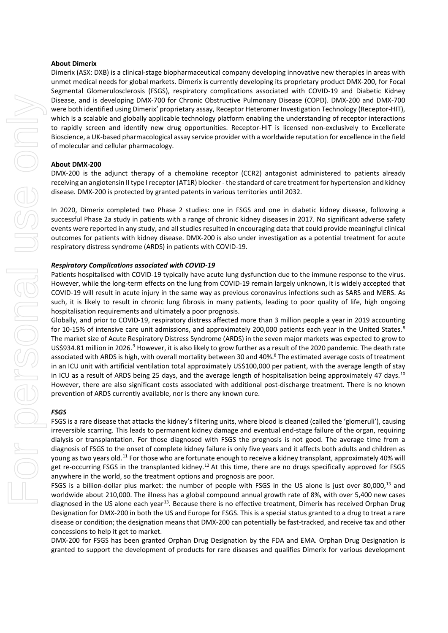#### **About Dimerix**

Dimerix (ASX: DXB) is a clinical-stage biopharmaceutical company developing innovative new therapies in areas with unmet medical needs for global markets. Dimerix is currently developing its proprietary product DMX-200, for Focal Segmental Glomerulosclerosis (FSGS), respiratory complications associated with COVID-19 and Diabetic Kidney Disease, and is developing DMX-700 for Chronic Obstructive Pulmonary Disease (COPD). DMX-200 and DMX-700 were both identified using Dimerix' proprietary assay, Receptor Heteromer Investigation Technology (Receptor-HIT), which is a scalable and globally applicable technology platform enabling the understanding of receptor interactions to rapidly screen and identify new drug opportunities. Receptor-HIT is licensed non-exclusively to Excellerate Bioscience, a UK-based pharmacological assay service provider with a worldwide reputation for excellence in the field of molecular and cellular pharmacology.

#### **About DMX-200**

DMX-200 is the adjunct therapy of a chemokine receptor (CCR2) antagonist administered to patients already receiving an angiotensin II type I receptor (AT1R) blocker - the standard of care treatment for hypertension and kidney disease. DMX-200 is protected by granted patents in various territories until 2032.

In 2020, Dimerix completed two Phase 2 studies: one in FSGS and one in diabetic kidney disease, following a successful Phase 2a study in patients with a range of chronic kidney diseases in 2017. No significant adverse safety events were reported in any study, and all studies resulted in encouraging data that could provide meaningful clinical outcomes for patients with kidney disease. DMX-200 is also under investigation as a potential treatment for acute respiratory distress syndrome (ARDS) in patients with COVID-19.

#### *Respiratory Complications associated with COVID-19*

Patients hospitalised with COVID-19 typically have acute lung dysfunction due to the immune response to the virus. However, while the long-term effects on the lung from COVID-19 remain largely unknown, it is widely accepted that COVID-19 will result in acute injury in the same way as previous coronavirus infections such as SARS and MERS. As such, it is likely to result in chronic lung fibrosis in many patients, leading to poor quality of life, high ongoing hospitalisation requirements and ultimately a poor prognosis.

<span id="page-2-0"></span>Globally, and prior to COVID-19, respiratory distress affected more than 3 million people a year in 2019 accounting for 10-15% of intensive care unit admissions, and approximately 200,000 patients each year in the United States.<sup>[8](#page-3-7)</sup> The market size of Acute Respiratory Distress Syndrome (ARDS) in the seven major markets was expected to grow to US\$[9](#page-3-8)34.81 million in 2026.<sup>9</sup> However, it is also likely to grow further as a result of the 2020 pandemic. The death rate associated with ARDS is high, with overall mortality between 30 and 40%.<sup>8</sup> The estimated average costs of treatment in an ICU unit with artificial ventilation total approximately US\$100,000 per patient, with the average length of stay in ICU as a result of ARDS being 25 days, and the average length of hospitalisation being approximately 47 days.<sup>[10](#page-3-9)</sup> However, there are also significant costs associated with additional post-discharge treatment. There is no known prevention of ARDS currently available, nor is there any known cure.

#### *FSGS*

FSGS is a rare disease that attacks the kidney's filtering units, where blood is cleaned (called the 'glomeruli'), causing irreversible scarring. This leads to permanent kidney damage and eventual end-stage failure of the organ, requiring dialysis or transplantation. For those diagnosed with FSGS the prognosis is not good. The average time from a diagnosis of FSGS to the onset of complete kidney failure is only five years and it affects both adults and children as young as two years old.<sup>[11](#page-3-10)</sup> For those who are fortunate enough to receive a kidney transplant, approximately 40% will get re-occurring FSGS in the transplanted kidney.<sup>[12](#page-3-11)</sup> At this time, there are no drugs specifically approved for FSGS anywhere in the world, so the treatment options and prognosis are poor.

<span id="page-2-1"></span>FSGS is a billion-dollar plus market: the number of people with FSGS in the US alone is just over 80,000,<sup>13</sup> and worldwide about 210,000. The illness has a global compound annual growth rate of 8%, with over 5,400 new cases diagnosed in the US alone each year<sup>13</sup>. Because there is no effective treatment, Dimerix has received Orphan Drug Designation for DMX-200 in both the US and Europe for FSGS. This is a special status granted to a drug to treat a rare disease or condition; the designation means that DMX-200 can potentially be fast-tracked, and receive tax and other concessions to help it get to market.

DMX-200 for FSGS has been granted Orphan Drug Designation by the FDA and EMA. Orphan Drug Designation is granted to support the development of products for rare diseases and qualifies Dimerix for various development